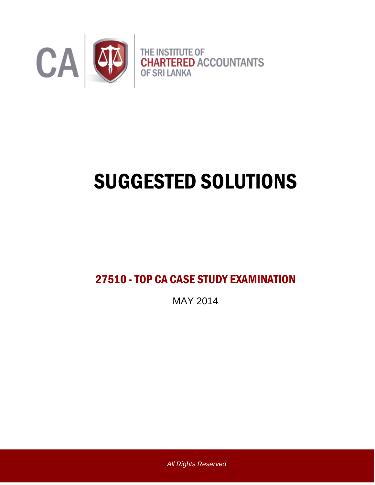

# SUGGESTED SOLUTIONS

# 27510 -TOP CA CASE STUDY EXAMINATION

MAY 2014

*All Rights Reserved*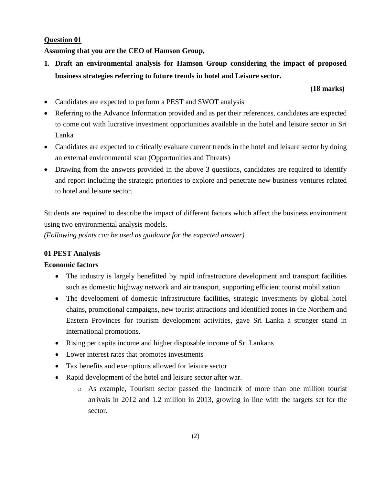# **Question 01**

**Assuming that you are the CEO of Hamson Group,**

**1. Draft an environmental analysis for Hamson Group considering the impact of proposed business strategies referring to future trends in hotel and Leisure sector.**

# **(18 marks)**

- Candidates are expected to perform a PEST and SWOT analysis
- Referring to the Advance Information provided and as per their references, candidates are expected to come out with lucrative investment opportunities available in the hotel and leisure sector in Sri Lanka
- Candidates are expected to critically evaluate current trends in the hotel and leisure sector by doing an external environmental scan (Opportunities and Threats)
- Drawing from the answers provided in the above 3 questions, candidates are required to identify and report including the strategic priorities to explore and penetrate new business ventures related to hotel and leisure sector.

Students are required to describe the impact of different factors which affect the business environment using two environmental analysis models.

*(Following points can be used as guidance for the expected answer)*

# **01 PEST Analysis**

# **Economic factors**

- The industry is largely benefitted by rapid infrastructure development and transport facilities such as domestic highway network and air transport, supporting efficient tourist mobilization
- The development of domestic infrastructure facilities, strategic investments by global hotel chains, promotional campaigns, new tourist attractions and identified zones in the Northern and Eastern Provinces for tourism development activities, gave Sri Lanka a stronger stand in international promotions.
- Rising per capita income and higher disposable income of Sri Lankans
- Lower interest rates that promotes investments
- Tax benefits and exemptions allowed for leisure sector
- Rapid development of the hotel and leisure sector after war.
	- o As example, Tourism sector passed the landmark of more than one million tourist arrivals in 2012 and 1.2 million in 2013, growing in line with the targets set for the sector.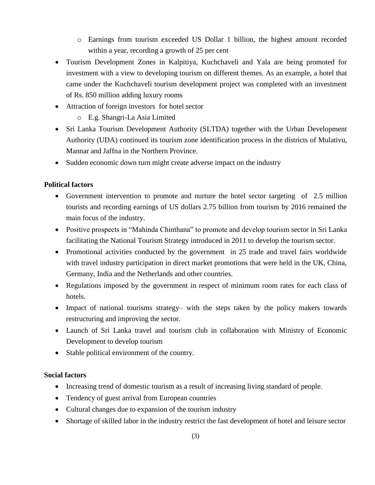- o Earnings from tourism exceeded US Dollar 1 billion, the highest amount recorded within a year, recording a growth of 25 per cent
- Tourism Development Zones in Kalpitiya, Kuchchaveli and Yala are being promoted for investment with a view to developing tourism on different themes. As an example, a hotel that came under the Kuchchaveli tourism development project was completed with an investment of Rs. 850 million adding luxury rooms
- Attraction of foreign investors for hotel sector
	- o E.g. Shangri-La Asia Limited
- Sri Lanka Tourism Development Authority (SLTDA) together with the Urban Development Authority (UDA) continued its tourism zone identification process in the districts of Mulativu, Mannar and Jaffna in the Northern Province.
- Sudden economic down turn might create adverse impact on the industry

# **Political factors**

- Government intervention to promote and nurture the hotel sector targeting of 2.5 million tourists and recording earnings of US dollars 2.75 billion from tourism by 2016 remained the main focus of the industry.
- Positive prospects in "Mahinda Chinthana" to promote and develop tourism sector in Sri Lanka facilitating the National Tourism Strategy introduced in 2011 to develop the tourism sector.
- Promotional activities conducted by the government in 25 trade and travel fairs worldwide with travel industry participation in direct market promotions that were held in the UK, China, Germany, India and the Netherlands and other countries.
- Regulations imposed by the government in respect of minimum room rates for each class of hotels.
- Impact of national tourisms strategy– with the steps taken by the policy makers towards restructuring and improving the sector.
- Launch of Sri Lanka travel and tourism club in collaboration with Ministry of Economic Development to develop tourism
- Stable political environment of the country.

# **Social factors**

- Increasing trend of domestic tourism as a result of increasing living standard of people.
- Tendency of guest arrival from European countries
- Cultural changes due to expansion of the tourism industry
- Shortage of skilled labor in the industry restrict the fast development of hotel and leisure sector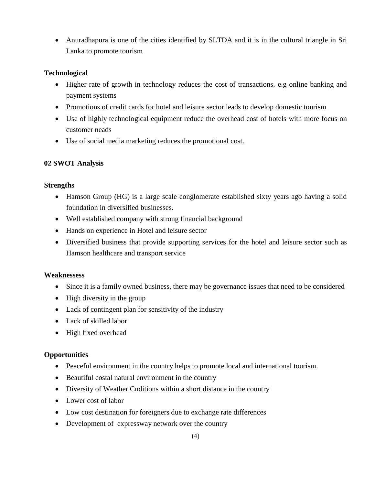Anuradhapura is one of the cities identified by SLTDA and it is in the cultural triangle in Sri Lanka to promote tourism

# **Technological**

- Higher rate of growth in technology reduces the cost of transactions. e.g online banking and payment systems
- Promotions of credit cards for hotel and leisure sector leads to develop domestic tourism
- Use of highly technological equipment reduce the overhead cost of hotels with more focus on customer neads
- Use of social media marketing reduces the promotional cost.

# **02 SWOT Analysis**

# **Strengths**

- Hamson Group (HG) is a large scale conglomerate established sixty years ago having a solid foundation in diversified businesses.
- Well established company with strong financial background
- Hands on experience in Hotel and leisure sector
- Diversified business that provide supporting services for the hotel and leisure sector such as Hamson healthcare and transport service

# **Weaknessess**

- Since it is a family owned business, there may be governance issues that need to be considered
- High diversity in the group
- Lack of contingent plan for sensitivity of the industry
- Lack of skilled labor
- High fixed overhead

# **Opportunities**

- Peaceful environment in the country helps to promote local and international tourism.
- Beautiful costal natural environment in the country
- Diversity of Weather Cnditions within a short distance in the country
- Lower cost of labor
- Low cost destination for foreigners due to exchange rate differences
- Development of expressway network over the country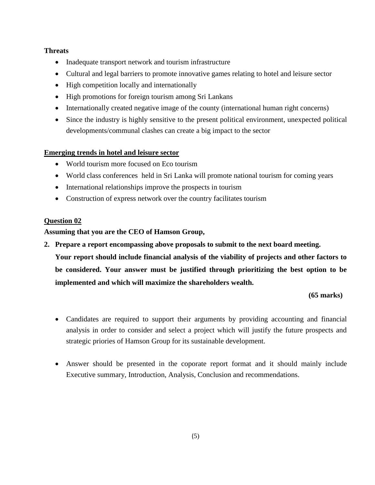# **Threats**

- Inadequate transport network and tourism infrastructure
- Cultural and legal barriers to promote innovative games relating to hotel and leisure sector
- High competition locally and internationally
- High promotions for foreign tourism among Sri Lankans
- Internationally created negative image of the county (international human right concerns)
- Since the industry is highly sensitive to the present political environment, unexpected political developments/communal clashes can create a big impact to the sector

# **Emerging trends in hotel and leisure sector**

- World tourism more focused on Eco tourism
- World class conferences held in Sri Lanka will promote national tourism for coming years
- International relationships improve the prospects in tourism
- Construction of express network over the country facilitates tourism

# **Question 02**

**Assuming that you are the CEO of Hamson Group,**

**2. Prepare a report encompassing above proposals to submit to the next board meeting.**

**Your report should include financial analysis of the viability of projects and other factors to be considered. Your answer must be justified through prioritizing the best option to be implemented and which will maximize the shareholders wealth.** 

**(65 marks)**

- Candidates are required to support their arguments by providing accounting and financial analysis in order to consider and select a project which will justify the future prospects and strategic priories of Hamson Group for its sustainable development.
- Answer should be presented in the coporate report format and it should mainly include Executive summary, Introduction, Analysis, Conclusion and recommendations.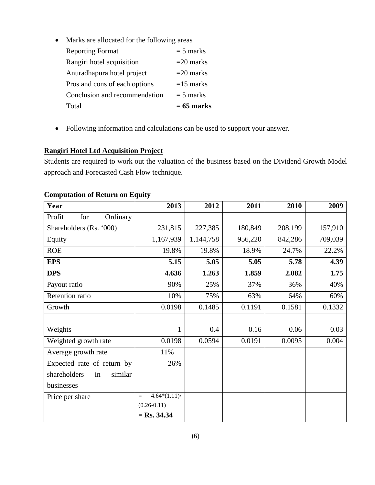• Marks are allocated for the following areas

| Total                         | $= 65$ marks |
|-------------------------------|--------------|
| Conclusion and recommendation | $=$ 5 marks  |
| Pros and cons of each options | $=15$ marks  |
| Anuradhapura hotel project    | $=$ 20 marks |
| Rangiri hotel acquisition     | $=$ 20 marks |
| <b>Reporting Format</b>       | $=$ 5 marks  |
|                               |              |

Following information and calculations can be used to support your answer.

# **Rangiri Hotel Ltd Acquisition Project**

Students are required to work out the valuation of the business based on the Dividend Growth Model approach and Forecasted Cash Flow technique.

| Year                          | 2013                   | 2012      | 2011    | 2010    | 2009    |
|-------------------------------|------------------------|-----------|---------|---------|---------|
| Profit<br>Ordinary<br>for     |                        |           |         |         |         |
| Shareholders (Rs. '000)       | 231,815                | 227,385   | 180,849 | 208,199 | 157,910 |
| Equity                        | 1,167,939              | 1,144,758 | 956,220 | 842,286 | 709,039 |
| <b>ROE</b>                    | 19.8%                  | 19.8%     | 18.9%   | 24.7%   | 22.2%   |
| <b>EPS</b>                    | 5.15                   | 5.05      | 5.05    | 5.78    | 4.39    |
| <b>DPS</b>                    | 4.636                  | 1.263     | 1.859   | 2.082   | 1.75    |
| Payout ratio                  | 90%                    | 25%       | 37%     | 36%     | 40%     |
| Retention ratio               | 10%                    | 75%       | 63%     | 64%     | 60%     |
| Growth                        | 0.0198                 | 0.1485    | 0.1191  | 0.1581  | 0.1332  |
|                               |                        |           |         |         |         |
| Weights                       | 1                      | 0.4       | 0.16    | 0.06    | 0.03    |
| Weighted growth rate          | 0.0198                 | 0.0594    | 0.0191  | 0.0095  | 0.004   |
| Average growth rate           | 11%                    |           |         |         |         |
| Expected rate of return by    | 26%                    |           |         |         |         |
| shareholders<br>similar<br>in |                        |           |         |         |         |
| businesses                    |                        |           |         |         |         |
| Price per share               | $4.64*(1.11)$ /<br>$=$ |           |         |         |         |
|                               | $(0.26 - 0.11)$        |           |         |         |         |
|                               | $=$ Rs. 34.34          |           |         |         |         |

# **Computation of Return on Equity**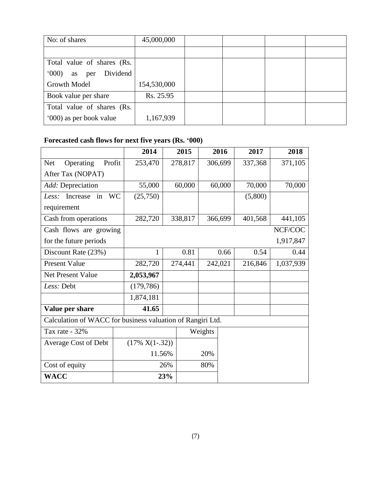| No: of shares                  | 45,000,000  |  |  |
|--------------------------------|-------------|--|--|
|                                |             |  |  |
| Total value of shares (Rs.     |             |  |  |
| Dividend<br>(000)<br>per<br>as |             |  |  |
| Growth Model                   | 154,530,000 |  |  |
| Book value per share           | Rs. 25.95   |  |  |
| Total value of shares (Rs.     |             |  |  |
| '000) as per book value        | 1,167,939   |  |  |

# **Forecasted cash flows for next five years (Rs. '000)**

|                                                            | 2014              |        | 2015         |         | 2016    | 2017    | 2018      |
|------------------------------------------------------------|-------------------|--------|--------------|---------|---------|---------|-----------|
| Operating<br>Profit<br><b>Net</b>                          | 253,470           |        | 278,817      | 306,699 |         | 337,368 | 371,105   |
| After Tax (NOPAT)                                          |                   |        |              |         |         |         |           |
| Add: Depreciation                                          | 55,000            |        | 60,000       |         | 60,000  | 70,000  | 70,000    |
| <b>WC</b><br>Increase<br>Less:<br>in                       | (25,750)          |        |              |         |         | (5,800) |           |
| requirement                                                |                   |        |              |         |         |         |           |
| Cash from operations                                       | 282,720           |        | 338,817      |         | 366,699 | 401,568 | 441,105   |
| Cash flows are growing                                     |                   |        |              |         |         |         | NCF/COC   |
| for the future periods                                     |                   |        |              |         |         |         | 1,917,847 |
| Discount Rate (23%)                                        | 1                 |        | 0.81<br>0.66 |         | 0.54    | 0.44    |           |
| <b>Present Value</b>                                       | 282,720           |        | 274,441      |         | 242,021 | 216,846 | 1,037,939 |
| <b>Net Present Value</b>                                   | 2,053,967         |        |              |         |         |         |           |
| Less: Debt                                                 | (179, 786)        |        |              |         |         |         |           |
|                                                            | 1,874,181         |        |              |         |         |         |           |
| Value per share                                            | 41.65             |        |              |         |         |         |           |
| Calculation of WACC for business valuation of Rangiri Ltd. |                   |        |              |         |         |         |           |
| Tax rate - 32%                                             |                   |        |              | Weights |         |         |           |
| Average Cost of Debt                                       | $(17\% X(1-.32))$ |        |              |         |         |         |           |
|                                                            |                   | 11.56% |              | 20%     |         |         |           |
| Cost of equity                                             |                   | 26%    |              | 80%     |         |         |           |
| <b>WACC</b>                                                |                   | 23%    |              |         |         |         |           |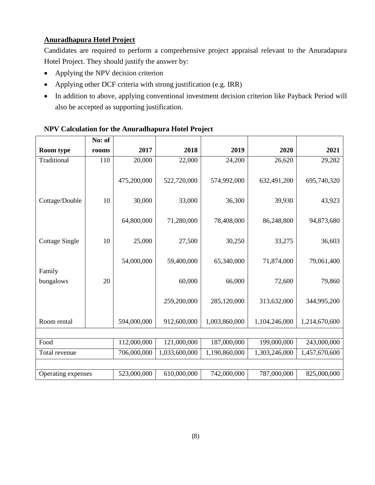# **Anuradhapura Hotel Project**

Candidates are required to perform a comprehensive project appraisal relevant to the Anuradapura Hotel Project. They should justify the answer by:

- Applying the NPV decision criterion
- Applying other DCF criteria with strong justification (e.g. IRR)
- In addition to above, applying conventional investment decision criterion like Payback Period will also be accepted as supporting justification.

|                       | No: of |             |               |               |               |               |
|-----------------------|--------|-------------|---------------|---------------|---------------|---------------|
| <b>Room type</b>      | rooms  | 2017        | 2018          | 2019          | 2020          | 2021          |
| Traditional           | 110    | 20,000      | 22,000        | 24,200        | 26,620        | 29,282        |
|                       |        |             |               |               |               |               |
|                       |        | 475,200,000 | 522,720,000   | 574,992,000   | 632,491,200   | 695,740,320   |
|                       |        |             |               |               |               |               |
| Cottage/Double        | 10     | 30,000      | 33,000        | 36,300        | 39,930        | 43,923        |
|                       |        |             |               |               |               |               |
|                       |        | 64,800,000  | 71,280,000    | 78,408,000    | 86,248,800    | 94,873,680    |
|                       |        |             |               |               |               |               |
| <b>Cottage Single</b> | 10     | 25,000      | 27,500        | 30,250        | 33,275        | 36,603        |
|                       |        | 54,000,000  | 59,400,000    | 65,340,000    | 71,874,000    | 79,061,400    |
| Family                |        |             |               |               |               |               |
| bungalows             | 20     |             | 60,000        | 66,000        | 72,600        | 79,860        |
|                       |        |             |               |               |               |               |
|                       |        |             | 259,200,000   | 285,120,000   | 313,632,000   | 344,995,200   |
|                       |        |             |               |               |               |               |
| Room rental           |        | 594,000,000 | 912,600,000   | 1,003,860,000 | 1,104,246,000 | 1,214,670,600 |
|                       |        |             |               |               |               |               |
| Food                  |        | 112,000,000 | 121,000,000   | 187,000,000   | 199,000,000   | 243,000,000   |
| Total revenue         |        | 706,000,000 | 1,033,600,000 | 1,190,860,000 | 1,303,246,000 | 1,457,670,600 |
|                       |        |             |               |               |               |               |
| Operating expenses    |        | 523,000,000 | 610,000,000   | 742,000,000   | 787,000,000   | 825,000,000   |

# **NPV Calculation for the Anuradhapura Hotel Project**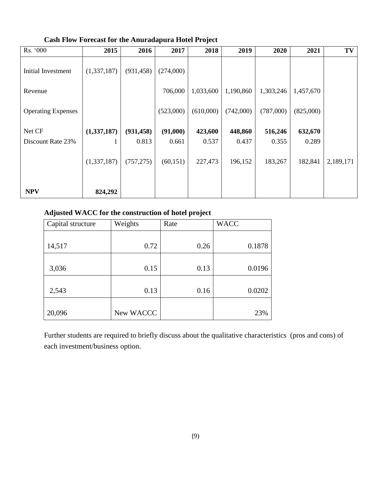| Rs. '000                  | 2015        | 2016       | 2017      | 2018      | 2019      | 2020      | 2021      | TV        |
|---------------------------|-------------|------------|-----------|-----------|-----------|-----------|-----------|-----------|
| Initial Investment        | (1,337,187) | (931, 458) | (274,000) |           |           |           |           |           |
| Revenue                   |             |            | 706,000   | 1,033,600 | 1,190,860 | 1,303,246 | 1,457,670 |           |
| <b>Operating Expenses</b> |             |            | (523,000) | (610,000) | (742,000) | (787,000) | (825,000) |           |
| Net CF                    | (1,337,187) | (931, 458) | (91,000)  | 423,600   | 448,860   | 516,246   | 632,670   |           |
| Discount Rate 23%         |             | 0.813      | 0.661     | 0.537     | 0.437     | 0.355     | 0.289     |           |
|                           | (1,337,187) | (757, 275) | (60, 151) | 227,473   | 196,152   | 183,267   | 182,841   | 2,189,171 |
| <b>NPV</b>                | 824,292     |            |           |           |           |           |           |           |

**Cash Flow Forecast for the Anuradapura Hotel Project**

# **Adjusted WACC for the construction of hotel project**

| Capital structure | Weights   | Rate | <b>WACC</b> |
|-------------------|-----------|------|-------------|
|                   |           |      |             |
| 14,517            | 0.72      | 0.26 | 0.1878      |
|                   |           |      |             |
| 3,036             | 0.15      | 0.13 | 0.0196      |
|                   |           |      |             |
| 2,543             | 0.13      | 0.16 | 0.0202      |
|                   |           |      |             |
| 20,096            | New WACCC |      | 23%         |

Further students are required to briefly discuss about the qualitative characteristics (pros and cons) of each investment/business option.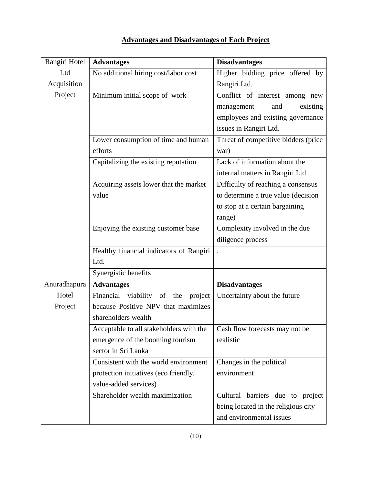| Rangiri Hotel | <b>Advantages</b>                           | <b>Disadvantages</b>                 |
|---------------|---------------------------------------------|--------------------------------------|
| Ltd           | No additional hiring cost/labor cost        | Higher bidding price offered by      |
| Acquisition   |                                             | Rangiri Ltd.                         |
| Project       | Minimum initial scope of work               | Conflict of interest among new       |
|               |                                             | management<br>existing<br>and        |
|               |                                             | employees and existing governance    |
|               |                                             | issues in Rangiri Ltd.               |
|               | Lower consumption of time and human         | Threat of competitive bidders (price |
|               | efforts                                     | war)                                 |
|               | Capitalizing the existing reputation        | Lack of information about the        |
|               |                                             | internal matters in Rangiri Ltd      |
|               | Acquiring assets lower that the market      | Difficulty of reaching a consensus   |
|               | value                                       | to determine a true value (decision  |
|               |                                             | to stop at a certain bargaining      |
|               |                                             | range)                               |
|               | Enjoying the existing customer base         | Complexity involved in the due       |
|               |                                             | diligence process                    |
|               | Healthy financial indicators of Rangiri     | $\ddot{\phantom{a}}$                 |
|               | Ltd.                                        |                                      |
|               | Synergistic benefits                        |                                      |
| Anuradhapura  | <b>Advantages</b>                           | <b>Disadvantages</b>                 |
| Hotel         | Financial<br>viability of<br>project<br>the | Uncertainty about the future         |
| Project       | because Positive NPV that maximizes         |                                      |
|               | shareholders wealth                         |                                      |
|               | Acceptable to all stakeholders with the     | Cash flow forecasts may not be       |
|               | emergence of the booming tourism            | realistic                            |
|               | sector in Sri Lanka                         |                                      |
|               | Consistent with the world environment       | Changes in the political             |
|               | protection initiatives (eco friendly,       | environment                          |
|               | value-added services)                       |                                      |
|               | Shareholder wealth maximization             | Cultural barriers due to project     |
|               |                                             | being located in the religious city  |
|               |                                             | and environmental issues             |

# **Advantages and Disadvantages of Each Project**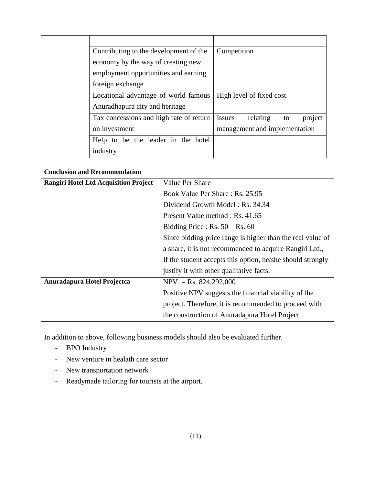| Contributing to the development of the  | Competition                                |
|-----------------------------------------|--------------------------------------------|
| economy by the way of creating new      |                                            |
| employment opportunities and earning    |                                            |
| foreign exchange                        |                                            |
| Locational advantage of world famous    | High level of fixed cost                   |
| Anuradhapura city and heritage          |                                            |
| Tax concessions and high rate of return | relating<br><b>Issues</b><br>project<br>to |
| on investment                           | management and implementation              |
| Help to be the leader in the hotel      |                                            |
| industry                                |                                            |

# **Conclusion and Recommendation**

| <b>Rangiri Hotel Ltd Acquisition Project</b> | Value Per Share                                            |  |  |
|----------------------------------------------|------------------------------------------------------------|--|--|
|                                              | Book Value Per Share: Rs. 25.95                            |  |  |
|                                              | Dividend Growth Model: Rs. 34.34                           |  |  |
|                                              | Present Value method : Rs. 41.65                           |  |  |
|                                              | Bidding Price : $Rs. 50 - Rs. 60$                          |  |  |
|                                              | Since bidding price range is higher than the real value of |  |  |
|                                              | a share, it is not recommended to acquire Rangiri Ltd.,    |  |  |
|                                              | If the student accepts this option, he/she should strongly |  |  |
|                                              | justify it with other qualitative facts.                   |  |  |
| Anuradapura Hotel Projectca                  | $NPV = Rs. 824,292,000$                                    |  |  |
|                                              | Positive NPV suggests the financial viability of the       |  |  |
|                                              | project. Therefore, it is recommended to proceed with      |  |  |
|                                              | the construction of Anuradapura Hotel Project.             |  |  |

In addition to above, following business models should also be evaluated further.

- BPO Industry
- New venture in healath care sector
- New transportation network
- Readymade tailoring for tourists at the airport.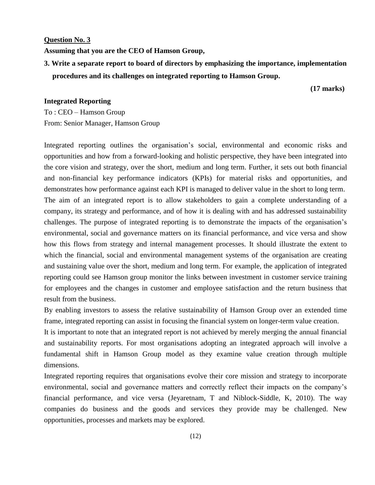#### **Question No. 3**

**Assuming that you are the CEO of Hamson Group,**

**3. Write a separate report to board of directors by emphasizing the importance, implementation procedures and its challenges on integrated reporting to Hamson Group.**

 **(17 marks)**

### **Integrated Reporting**

To : CEO – Hamson Group From: Senior Manager, Hamson Group

Integrated reporting outlines the organisation's social, environmental and economic risks and opportunities and how from a forward-looking and holistic perspective, they have been integrated into the core vision and strategy, over the short, medium and long term. Further, it sets out both financial and non-financial key performance indicators (KPIs) for material risks and opportunities, and demonstrates how performance against each KPI is managed to deliver value in the short to long term. The aim of an integrated report is to allow stakeholders to gain a complete understanding of a company, its strategy and performance, and of how it is dealing with and has addressed sustainability challenges. The purpose of integrated reporting is to demonstrate the impacts of the organisation's environmental, social and governance matters on its financial performance, and vice versa and show how this flows from strategy and internal management processes. It should illustrate the extent to which the financial, social and environmental management systems of the organisation are creating and sustaining value over the short, medium and long term. For example, the application of integrated reporting could see Hamson group monitor the links between investment in customer service training for employees and the changes in customer and employee satisfaction and the return business that result from the business.

By enabling investors to assess the relative sustainability of Hamson Group over an extended time frame, integrated reporting can assist in focusing the financial system on longer-term value creation.

It is important to note that an integrated report is not achieved by merely merging the annual financial and sustainability reports. For most organisations adopting an integrated approach will involve a fundamental shift in Hamson Group model as they examine value creation through multiple dimensions.

Integrated reporting requires that organisations evolve their core mission and strategy to incorporate environmental, social and governance matters and correctly reflect their impacts on the company's financial performance, and vice versa (Jeyaretnam, T and Niblock-Siddle, K, 2010). The way companies do business and the goods and services they provide may be challenged. New opportunities, processes and markets may be explored.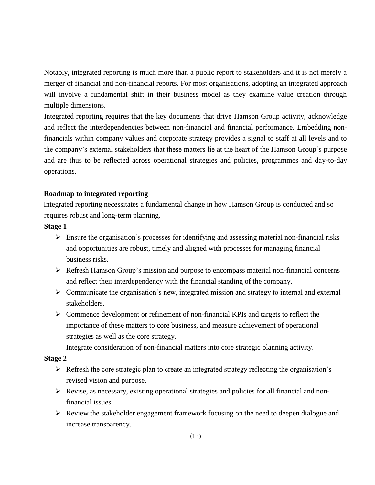Notably, integrated reporting is much more than a public report to stakeholders and it is not merely a merger of financial and non-financial reports. For most organisations, adopting an integrated approach will involve a fundamental shift in their business model as they examine value creation through multiple dimensions.

Integrated reporting requires that the key documents that drive Hamson Group activity, acknowledge and reflect the interdependencies between non-financial and financial performance. Embedding nonfinancials within company values and corporate strategy provides a signal to staff at all levels and to the company's external stakeholders that these matters lie at the heart of the Hamson Group's purpose and are thus to be reflected across operational strategies and policies, programmes and day-to-day operations.

# **Roadmap to integrated reporting**

Integrated reporting necessitates a fundamental change in how Hamson Group is conducted and so requires robust and long-term planning.

### **Stage 1**

- $\triangleright$  Ensure the organisation's processes for identifying and assessing material non-financial risks and opportunities are robust, timely and aligned with processes for managing financial business risks.
- $\triangleright$  Refresh Hamson Group's mission and purpose to encompass material non-financial concerns and reflect their interdependency with the financial standing of the company.
- $\triangleright$  Communicate the organisation's new, integrated mission and strategy to internal and external stakeholders.
- $\triangleright$  Commence development or refinement of non-financial KPIs and targets to reflect the importance of these matters to core business, and measure achievement of operational strategies as well as the core strategy.

Integrate consideration of non-financial matters into core strategic planning activity.

#### **Stage 2**

- $\triangleright$  Refresh the core strategic plan to create an integrated strategy reflecting the organisation's revised vision and purpose.
- $\triangleright$  Revise, as necessary, existing operational strategies and policies for all financial and nonfinancial issues.
- $\triangleright$  Review the stakeholder engagement framework focusing on the need to deepen dialogue and increase transparency.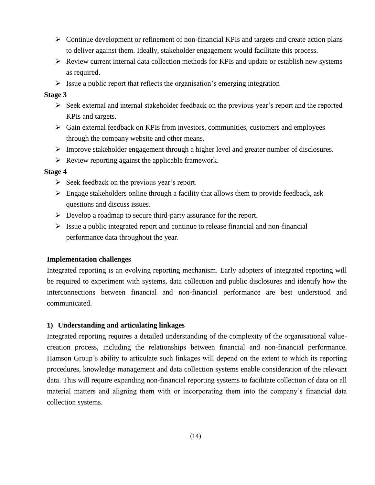- $\triangleright$  Continue development or refinement of non-financial KPIs and targets and create action plans to deliver against them. Ideally, stakeholder engagement would facilitate this process.
- $\triangleright$  Review current internal data collection methods for KPIs and update or establish new systems as required.
- $\triangleright$  Issue a public report that reflects the organisation's emerging integration

# **Stage 3**

- $\triangleright$  Seek external and internal stakeholder feedback on the previous year's report and the reported KPIs and targets.
- $\triangleright$  Gain external feedback on KPIs from investors, communities, customers and employees through the company website and other means.
- $\triangleright$  Improve stakeholder engagement through a higher level and greater number of disclosures.
- $\triangleright$  Review reporting against the applicable framework.

### **Stage 4**

- $\triangleright$  Seek feedback on the previous year's report.
- $\triangleright$  Engage stakeholders online through a facility that allows them to provide feedback, ask questions and discuss issues.
- $\triangleright$  Develop a roadmap to secure third-party assurance for the report.
- $\triangleright$  Issue a public integrated report and continue to release financial and non-financial performance data throughout the year.

# **Implementation challenges**

Integrated reporting is an evolving reporting mechanism. Early adopters of integrated reporting will be required to experiment with systems, data collection and public disclosures and identify how the interconnections between financial and non-financial performance are best understood and communicated.

# **1) Understanding and articulating linkages**

Integrated reporting requires a detailed understanding of the complexity of the organisational valuecreation process, including the relationships between financial and non-financial performance. Hamson Group's ability to articulate such linkages will depend on the extent to which its reporting procedures, knowledge management and data collection systems enable consideration of the relevant data. This will require expanding non-financial reporting systems to facilitate collection of data on all material matters and aligning them with or incorporating them into the company's financial data collection systems.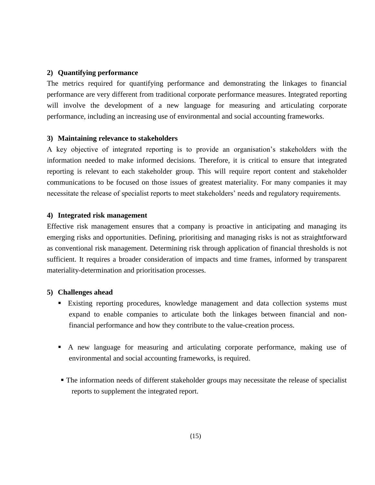# **2) Quantifying performance**

The metrics required for quantifying performance and demonstrating the linkages to financial performance are very different from traditional corporate performance measures. Integrated reporting will involve the development of a new language for measuring and articulating corporate performance, including an increasing use of environmental and social accounting frameworks.

# **3) Maintaining relevance to stakeholders**

A key objective of integrated reporting is to provide an organisation's stakeholders with the information needed to make informed decisions. Therefore, it is critical to ensure that integrated reporting is relevant to each stakeholder group. This will require report content and stakeholder communications to be focused on those issues of greatest materiality. For many companies it may necessitate the release of specialist reports to meet stakeholders' needs and regulatory requirements.

### **4) Integrated risk management**

Effective risk management ensures that a company is proactive in anticipating and managing its emerging risks and opportunities. Defining, prioritising and managing risks is not as straightforward as conventional risk management. Determining risk through application of financial thresholds is not sufficient. It requires a broader consideration of impacts and time frames, informed by transparent materiality-determination and prioritisation processes.

# **5) Challenges ahead**

- Existing reporting procedures, knowledge management and data collection systems must expand to enable companies to articulate both the linkages between financial and nonfinancial performance and how they contribute to the value-creation process.
- A new language for measuring and articulating corporate performance, making use of environmental and social accounting frameworks, is required.
- The information needs of different stakeholder groups may necessitate the release of specialist reports to supplement the integrated report.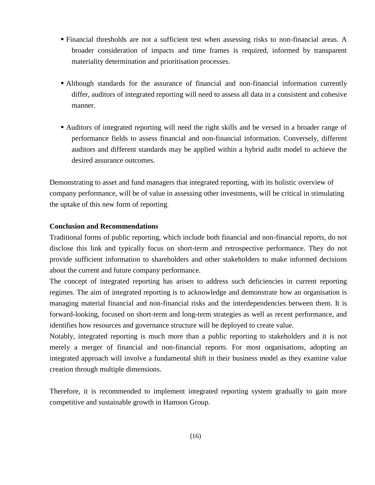- Financial thresholds are not a sufficient test when assessing risks to non-financial areas. A broader consideration of impacts and time frames is required, informed by transparent materiality determination and prioritisation processes.
- Although standards for the assurance of financial and non-financial information currently differ, auditors of integrated reporting will need to assess all data in a consistent and cohesive manner.
- Auditors of integrated reporting will need the right skills and be versed in a broader range of performance fields to assess financial and non-financial information. Conversely, different auditors and different standards may be applied within a hybrid audit model to achieve the desired assurance outcomes.

Demonstrating to asset and fund managers that integrated reporting, with its holistic overview of company performance, will be of value in assessing other investments, will be critical in stimulating the uptake of this new form of reporting.

### **Conclusion and Recommendations**

Traditional forms of public reporting, which include both financial and non-financial reports, do not disclose this link and typically focus on short-term and retrospective performance. They do not provide sufficient information to shareholders and other stakeholders to make informed decisions about the current and future company performance.

The concept of integrated reporting has arisen to address such deficiencies in current reporting regimes. The aim of integrated reporting is to acknowledge and demonstrate how an organisation is managing material financial and non-financial risks and the interdependencies between them. It is forward-looking, focused on short-term and long-term strategies as well as recent performance, and identifies how resources and governance structure will be deployed to create value.

Notably, integrated reporting is much more than a public reporting to stakeholders and it is not merely a merger of financial and non-financial reports. For most organisations, adopting an integrated approach will involve a fundamental shift in their business model as they examine value creation through multiple dimensions.

Therefore, it is recommended to implement integrated reporting system gradually to gain more competitive and sustainable growth in Hamson Group.